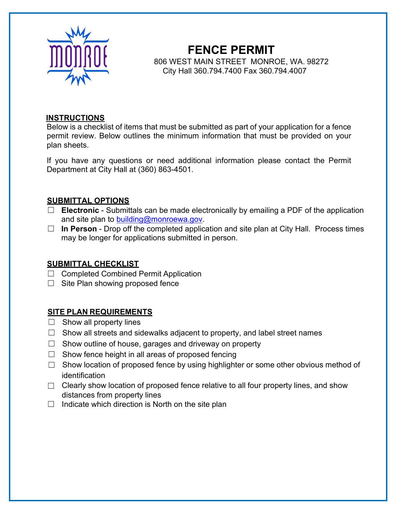

# **FENCE PERMIT**

806 WEST MAIN STREET MONROE, WA. 98272 City Hall 360.794.7400 Fax 360.794.4007

#### **INSTRUCTIONS**

Below is a checklist of items that must be submitted as part of your application for a fence permit review. Below outlines the minimum information that must be provided on your plan sheets.

If you have any questions or need additional information please contact the Permit Department at City Hall at (360) 863-4501.

#### **SUBMITTAL OPTIONS**

- ☐ **Electronic** Submittals can be made electronically by emailing a PDF of the application and site plan to [building@monroewa.gov.](mailto:building@monroewa.gov)
- ☐ **In Person** Drop off the completed application and site plan at City Hall. Process times may be longer for applications submitted in person.

#### **SUBMITTAL CHECKLIST**

- ☐ Completed Combined Permit Application
- $\Box$  Site Plan showing proposed fence

#### **SITE PLAN REQUIREMENTS**

- $\Box$  Show all property lines
- $\Box$  Show all streets and sidewalks adjacent to property, and label street names
- $\Box$  Show outline of house, garages and driveway on property
- $\Box$  Show fence height in all areas of proposed fencing
- $\Box$  Show location of proposed fence by using highlighter or some other obvious method of identification
- $\Box$  Clearly show location of proposed fence relative to all four property lines, and show distances from property lines
- $\Box$  Indicate which direction is North on the site plan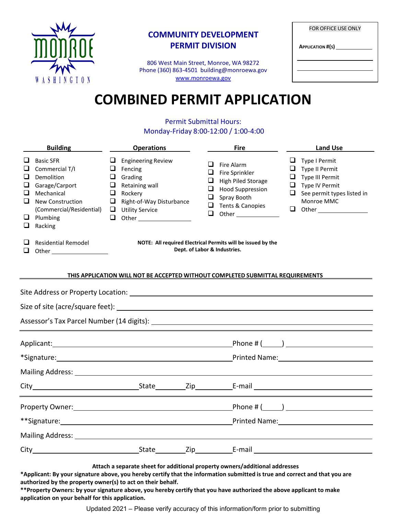

### **COMMUNITY DEVELOPMENT PERMIT DIVISION**

806 West Main Street, Monroe, WA 98272 Phone (360) 863-4501 [building@monroewa.gov](mailto:building@monroewa.gov) [www.monroewa.gov](http://www.monroewa.gov/)

| <b>FOR OFFICE USE ONLY</b><br><b>APPLICATION #(S)</b> |  |  |  |  |
|-------------------------------------------------------|--|--|--|--|
|                                                       |  |  |  |  |
|                                                       |  |  |  |  |

# **COMBINED PERMIT APPLICATION**

#### Permit Submittal Hours: Monday-Friday 8:00-12:00 / 1:00-4:00

|                                                                                       | <b>Building</b>                                                                                                                                         | <b>Operations</b>                                                                                                                                                                                                             | <b>Fire</b>                                                                                                                                                        | <b>Land Use</b>                                                                                                                                     |  |
|---------------------------------------------------------------------------------------|---------------------------------------------------------------------------------------------------------------------------------------------------------|-------------------------------------------------------------------------------------------------------------------------------------------------------------------------------------------------------------------------------|--------------------------------------------------------------------------------------------------------------------------------------------------------------------|-----------------------------------------------------------------------------------------------------------------------------------------------------|--|
| ⊔<br>❏<br>$\Box$<br>❏<br>⊔<br>❏<br>□<br>$\Box$                                        | <b>Basic SFR</b><br>Commercial T/I<br>Demolition<br>Garage/Carport<br>Mechanical<br>New Construction<br>(Commercial/Residential)<br>Plumbing<br>Racking | $\Box$ Engineering Review<br>$\Box$ Fencing<br>$\Box$ Grading<br>Retaining wall<br>u<br>u.<br>Rockery<br>Right-of-Way Disturbance<br>$\Box$ Utility Service                                                                   | ❏<br>Fire Alarm<br>$\Box$<br>Fire Sprinkler<br>$\Box$<br>High Piled Storage<br>❏<br><b>Hood Suppression</b><br>Spray Booth<br>❏<br>❏<br>Tents & Canopies<br>$\Box$ | $\Box$ Type I Permit<br>$\Box$ Type II Permit<br>$\Box$ Type III Permit<br>$\Box$ Type IV Permit<br>$\Box$ See permit types listed in<br>Monroe MMC |  |
| ⊔                                                                                     | <b>Residential Remodel</b>                                                                                                                              | NOTE: All required Electrical Permits will be issued by the<br>Dept. of Labor & Industries.                                                                                                                                   |                                                                                                                                                                    |                                                                                                                                                     |  |
| <b>THIS APPLICATION WILL NOT BE ACCEPTED WITHOUT COMPLETED SUBMITTAL REQUIREMENTS</b> |                                                                                                                                                         |                                                                                                                                                                                                                               |                                                                                                                                                                    |                                                                                                                                                     |  |
|                                                                                       |                                                                                                                                                         |                                                                                                                                                                                                                               |                                                                                                                                                                    | $Phone \# (\_\_\_\_)$                                                                                                                               |  |
|                                                                                       |                                                                                                                                                         |                                                                                                                                                                                                                               |                                                                                                                                                                    |                                                                                                                                                     |  |
|                                                                                       |                                                                                                                                                         |                                                                                                                                                                                                                               |                                                                                                                                                                    |                                                                                                                                                     |  |
|                                                                                       |                                                                                                                                                         |                                                                                                                                                                                                                               |                                                                                                                                                                    |                                                                                                                                                     |  |
|                                                                                       |                                                                                                                                                         |                                                                                                                                                                                                                               |                                                                                                                                                                    |                                                                                                                                                     |  |
|                                                                                       |                                                                                                                                                         |                                                                                                                                                                                                                               |                                                                                                                                                                    | Printed Name: 1999 March 1999 March 1999 March 1999 March 1999 March 1999 March 1999 March 1999 March 1999 Mar                                      |  |
|                                                                                       |                                                                                                                                                         | Mailing Address: Universe and Address and Address and Address and Address and Address and Address and Address and Address and Address and Address and Address and Address and Address and Address and Address and Address and |                                                                                                                                                                    |                                                                                                                                                     |  |
|                                                                                       |                                                                                                                                                         |                                                                                                                                                                                                                               |                                                                                                                                                                    |                                                                                                                                                     |  |
|                                                                                       |                                                                                                                                                         |                                                                                                                                                                                                                               |                                                                                                                                                                    |                                                                                                                                                     |  |

**Attach a separate sheet for additional property owners/additional addresses**

\*Applicant: By your signature above, you hereby certify that the information submitted is true and correct and that you are **authorized by the property owner(s) to act on their behalf.**

\*\*Property Owners: by your signature above, you hereby certify that you have authorized the above applicant to make **application on your behalf for this application.**

Updated 2021 – Please verify accuracy of this information/form prior to submitting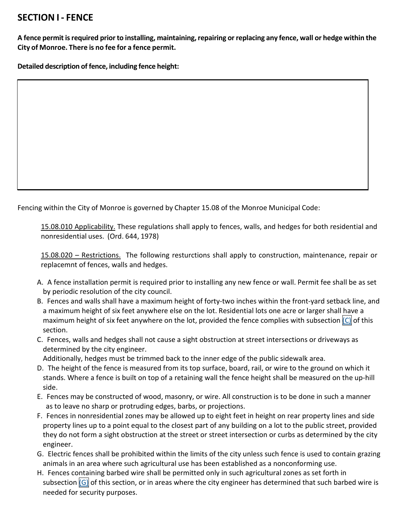## **SECTION I - FENCE**

**A fence permitisrequired priorto installing, maintaining,repairing orreplacing any fence, wall or hedge within the City of Monroe. There is no fee for a fence permit.**

**Detailed description of fence, including fence height:**

Fencing within the City of Monroe is governed by Chapter 15.08 of the Monroe Municipal Code:

15.08.010 Applicability. These regulations shall apply to fences, walls, and hedges for both residential and nonresidential uses. (Ord. 644, 1978)

15.08.020 – Restrictions. The following resturctions shall apply to construction, maintenance, repair or replacemnt of fences, walls and hedges.

- A. A fence installation permit is required prior to installing any new fence or wall. Permit fee shall be as set by periodic resolution of the city council.
- B. Fences and walls shall have a maximum height of forty-two inches within the front-yard setback line, and a maximum height of six feet anywhere else on the lot. Residential lots one acre or larger shall have a maximum height of six feet anywhere on the lot, provided the fence complies with subsection  $|C|$  of this section.
- C. Fences, walls and hedges shall not cause a sight obstruction at street intersections or driveways as determined by the city engineer.

Additionally, hedges must be trimmed back to the inner edge of the public sidewalk area.

- D. The height of the fence is measured from its top surface, board, rail, or wire to the ground on which it stands. Where a fence is built on top of a retaining wall the fence height shall be measured on the up-hill side.
- E. Fences may be constructed of wood, masonry, or wire. All construction is to be done in such a manner as to leave no sharp or protruding edges, barbs, or projections.
- F. Fences in nonresidential zones may be allowed up to eight feet in height on rear property lines and side property lines up to a point equal to the closest part of any building on a lot to the public street, provided they do not form a sight obstruction at the street or street intersection or curbs as determined by the city engineer.
- G. Electric fences shall be prohibited within the limits of the city unless such fence is used to contain grazing animals in an area where such agricultural use has been established as a nonconforming use.
- H. Fences containing barbed wire shall be permitted only in such agricultural zones as set forth in subsection  $[G]$  of this section, or in areas where the city engineer has determined that such barbed wire is needed for security purposes.